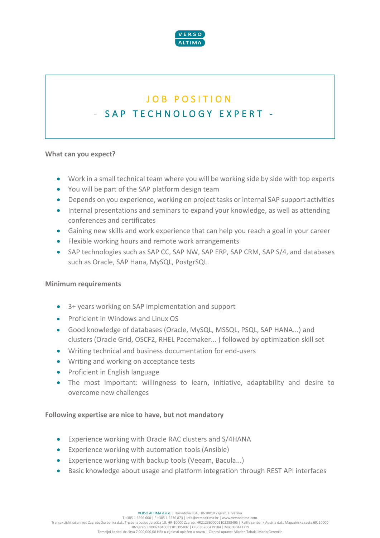

# JOB POSITION - SAP TECHNOLOGY EXPERT -

### **What can you expect?**

- Work in a small technical team where you will be working side by side with top experts
- You will be part of the SAP platform design team
- Depends on you experience, working on project tasks or internal SAP support activities
- Internal presentations and seminars to expand your knowledge, as well as attending conferences and certificates
- Gaining new skills and work experience that can help you reach a goal in your career
- Flexible working hours and remote work arrangements
- SAP technologies such as SAP CC, SAP NW, SAP ERP, SAP CRM, SAP S/4, and databases such as Oracle, SAP Hana, MySQL, PostgrSQL.

#### **Minimum requirements**

- 3+ years working on SAP implementation and support
- Proficient in Windows and Linux OS
- Good knowledge of databases (Oracle, MySQL, MSSQL, PSQL, SAP HANA...) and clusters (Oracle Grid, OSCF2, RHEL Pacemaker... ) followed by optimization skill set
- Writing technical and business documentation for end-users
- Writing and working on acceptance tests
- Proficient in English language
- The most important: willingness to learn, initiative, adaptability and desire to overcome new challenges

## **Following expertise are nice to have, but not mandatory**

- Experience working with Oracle RAC clusters and S/4HANA
- Experience working with automation tools (Ansible)
- Experience working with backup tools (Veeam, Bacula...)
- Basic knowledge about usage and platform integration through REST API interfaces